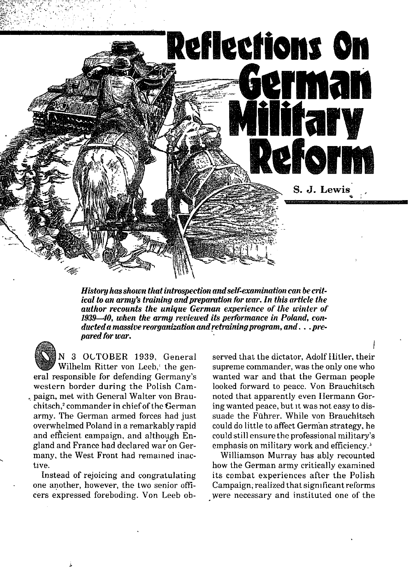

History has shown that introspection and self-examination can be critical to an army's training and preparation for war. In this article the author recounts the unique German experience of the winter of 1939—40, when the army reviewed its performance in Poland, conducted a massive reorganization and retraining program, and . . . prepared for war.

N 3 OCTOBER 1939, General Wilhelm Ritter von Leeb, the general responsible for defending Germany's western border during the Polish Cam-, paign, met with General Walter von Brauchitsch.<sup>2</sup> commander in chief of the German army. The German armed forces had just overwhelmed Poland in a remarkably rapid and efficient campaign, and although England and France had declared war on Germany, the West Front had remained inactive.

Instead of rejoicing and congratulating one another, however, the two senior officers expressed foreboding. Von Leeb observed that the dictator, Adolf Hitler, their supreme commander, was the only one who wanted war and that the German people looked forward to peace. Von Brauchitsch noted that apparently even Hermann Goring wanted peace, but it was not easy to dissuade the Führer. While von Brauchitsch could do little to affect German strategy, he could still ensure the professional military's emphasis on military work and efficiency.<sup>3</sup>

Williamson Murray has ably recounted how the German army critically examined its combat experiences after the Polish Campaign, realized that significant reforms were necessary and instituted one of the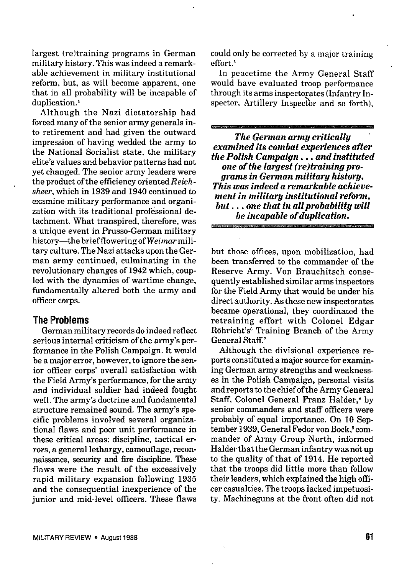largest (re)training programs in German military history. This was indeed a remarkable achievement in military institutional reform, but, as will become apparent, one that in all probability will be incapable of duplication.'

Although the Nazi dictatorship had forced many of the senior army generals into retirement and had given the outward impression of having wedded the army to the National Socialist state, the military elite's values and behavior patterns had not yet changed. The senior army leaders were the product of the efficiency oriented Reichsheer, which in 1939 and 1940 continued to examine military performance and organization with its traditional professional detachment. What transpired, therefore, *was* a unique event in Prusso-German military history-the brief flowering of Weimarmilitary culture. The Nazi attacks upon the German army continued, culminating in the revolutionary changes of 1942 which, coupled with the dynamics of wartime change, fundamentally altered both the army and officer corps.

## The Problems

German military records do indeed reflect serious internal criticism of the army's performance in the Polish Campaign. It would be a major error, however, to ignore the senior ofticer corps' overall satisfaction with the Field Army's performance, for the army and individual soldier had indeed fought well. The army's doctrine and fundamental structure remained sound. The army's specific problems involved several organizational flaws and poor unit performance in these critical areas: discipline, tactical errors, a general lethargy, camouflage, reconnaissance, security and fire discipline. These flaws were the result of the excessively rapid military expansion following 1935 and the consequential inexperience of the junior and mid-level officers. These flaws

could only be corrected by a major training effort.'

In peacetime the Army General Staff would have evaluated troop performance through its arms inspectorates (Infantry Inspector, Artillery Inspector and so forth),

*The German army critically ' examined its combat experiences after the Polish Campaign. . . and instituted*  $one of the largest (re) training process$ *grams in German military history, This was indeed a remarkable achievement in military iaatitutional reform, but . . . one that in allprobability will be incapable of duplication.*

but those offices, upon mobilization, had been transferred to the commander of the Reserve Army. Von Brauchitsch consequently established similar arms inspectors for the Field Army that would be under his direct authority. As these new inspectorates became operational, they coordinated the retraining effort with Colonel Edgar R6hricht's' Training Branch of the Army General Staff:

Although the divisional experience reports constituted a major source for examining German army strengths and weaknesses in the Polish Campaign, personal visits and reports to the chief of the Army General Staff, Colonel General Franz Halder,<sup>8</sup> by senior commanders and staff officers were probably of equal importance. On 10 September 1939, General Fedor von Bock, ° commander of Army Group North, informed Halder that the German infantry was not up to the quality of that of 1914. He reported that the troops did little more than follow their leaders, which explained the high officer casualties. The troops lacked impetuosity. Machineguns at the front often did not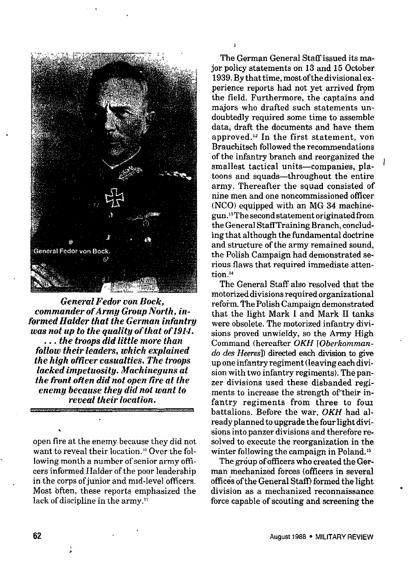

*General Fedor von Bock, commander of Army Group North, informed Halder that the German infantry was not up to the quatity of that of1914. . . . the troops did little more than follow their leaders, which explained the high ofticer casualties. The troops lacked impetuosity. Machineguns at ihe front oflen did not open tire at the enemy because they did not want to reveal their location.*

open fire at the enemy because they did not want to reveal their location.'" Over the following month a number of senior army officers informed Halder of the poor leadership in the corps of junior and mid-level officers. Most often, these reports emphasized the lack of discipline in the army."

The German General Staff issued its major policy statements on 13 and 15 October 1939. Bythattime, most ofthedivisionalexperience reports had not yet arrived from the field. Furthermore, the captains and majors who drafted such statements undoubtedly required some time to assemble data, draft the documents and have them approved.<sup>12</sup> In the first statement, von Brauchitsch followed the recommendations of the infantry branch and reorganized the smallest tactical units—companies, platoons and squads-throughout the entire army. Thereafter the squad consisted of nine men and one noncommissioned officer (NCO) equipped with an MG 34 machinegun.'3 The second statement originated from the General Staff Training Branch, concluding that although the fundamental doctrine and structure of the army remained sound. the Polish Campaign had demonstrated serious flaws that required immediate attention<sup>14</sup>

*I*

I

The General Staff also resolved that the motorized divisions required organizational reform. The Polish Campaign demonstrated that the light Mark I and Mark II tanks were obsolete. The motorized infantry divisions proved unwieldy, so the Army High Command (hereafter OKH [Oberkommando des *Heeres*]) directed each division to give up one infantry regiment (leaving each division with two infantry regiments), The panzer divisions used these disbanded regiments to increase the strength of'their infantry regiments from three to four battalions. Before the war, OKH had already planned to upgrade the four light divisions into panzer divisions and therefore resolved to execute the reorganization in the winter following the campaign in Poland.<sup>15</sup>

The group of officers who created the German mechanized forces (officers in several offices of the General Staff) formed the light division as a mechanized reconnaissance force capable of scouting and screening the

'

.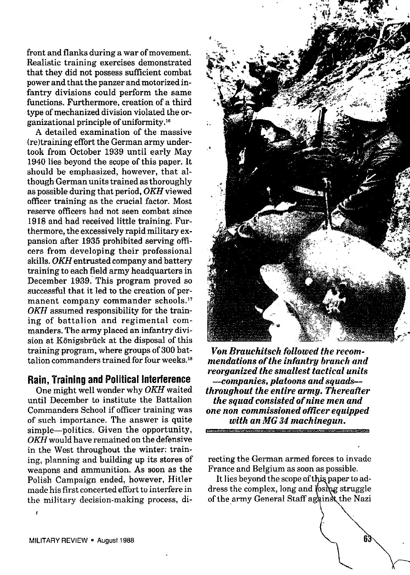front and flanks during a war of movement. Realistic training exercises demonstrated that they did not possess sufficient combat power and that the panzer and motorized infantry divisions could perform the same functions. Furthermore, creation of a third type of mechanized division violated the organizational principle of uniformity.<sup>16</sup>

A detailed examination of the massive (re)training effort the German army undertook from October 1939 until early May 1940 lies beyond the scope of this paper. It should be emphasized, however, that although German units trained as thoroughly as possible during that period, OKH viewed officer training as the crucial factor. Most reserve officers had not seen combat since 1918 and had received little training. Furthermore, the excessively rapid military expansion after 1935 prohibited serving officers from developing their professional skille. *OKH* entrusted company and battery training to each field army headquarters in December 1939. This program proved so successful that it led to the creation of permanent company commander schools.<sup>17</sup> *OKH* assumed responsibility for the training of battalion and regimental commanders. The army placed an infantry division at Königsbrück at the disposal of this training program, where groups of 300 battalion commanders trained for four weeks. $18$ 

## Rain, Training and Political interference

One might well wonder why *OKH* waited until December to institute the Battalion Commanders School if ofticer training was of such importance. The answer is quite simple—politics. Given the opportunity, *OKH* would have remained on the defensive in the West throughout the winter: training, planning and building up its stores of weapons and ammunition. As soon as the Polieh Campaign ended, however, Hitler made his first concerted effort to interfere in the military decision-making process, di-



*Von Brauchitsch followed the recommendations of the infantry branch and reorganized the smallest tactical units --companies, platoons and squads throughout the entire armg. Thereafter the squad consisted of nine men and one non commissioned ofticer equipped with an MG 34 machinegun.*

recting tbe German armed forces to invade France and Belgium as soon as possible.

It lies beyond the scope of this paper to address the complex, long and losing struggle of the army General Staff against the Nazi

6.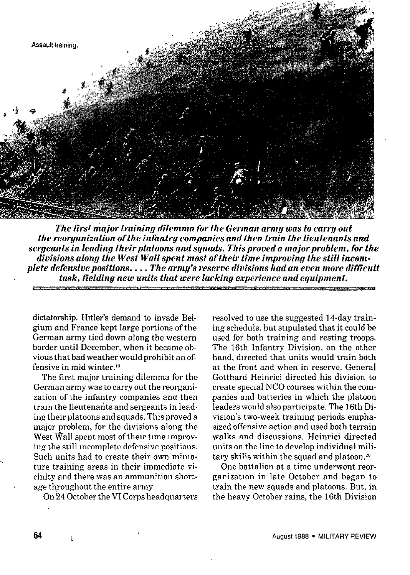

*The first major training dilemma for the German army was to carry out the reorganization of the infantry companies and then train the lieutenants and sergeants in leading their platoons and squads. This proved a rnajorproblem, for the divisions along the West Wall spent most of their time improving the still incomplete defensive positions. . . . The army's reserve divisions had an even more difficult task, fielding new units that were lacking experience and equipment.*

dictatorship. Hitler's demand to invade Belgium and France kept large portions of the German army tied down along the western border until December, when it became obvious that bad weather would prohibit an offensive in mid winter."

The first major training dilemma for the German army was to carry out the reorganization of the infantry companies and then tram the lieutenants and sergeants in leading their platoons and squads. This proved a major problem, for the divisions along the West Wall spent most of their time improving the still Incomplete defensive positions. Such units had to create their own miniature training areas in their immediate vicinity and there was an ammunition shortage throughout the entire army.

On 24 October the VI Corps headquarters

resolved to use the suggested 14-day training schedule, but stipulated that it could be used for both training and resting troops. The 16th Infantry Division, on the other hand, directed that units would train both at the front and when in reserve. General Gotthard Heinrici directed his division to create special NCO courses within the companies and batteries in which the platoon leaders would also participate. The 16th Division's two-week training periods emphasized offensive action and used both terrain walks and discussions. Heinrici directed units on the line to develop individual military skills within the squad and platoon.<sup>20</sup>

One battalion at a time underwent reorganization in late October and began to train the new squads and platoons. But, in the heavy October rains, the 16th Division

64 1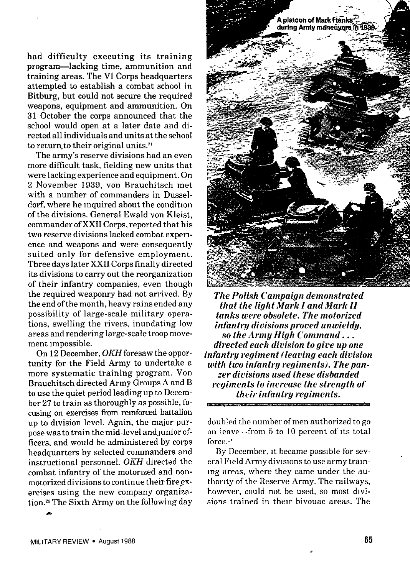had difficulty executing its training program-lacking time, ammunition and training areas. The VI Corps headquarters attempted to establish a combat school in Bitburg, but could not secure the required weapons, equipment and ammunition. On 31 October the corps announced that the school would open at a later date and directed all individuals and units at the school to return to their original units.<sup>21</sup>

The army's reserve divisions had an even more dificult task, fielding new units that were lacking experience and equipment. On 2 November 1939, von Brauchitsch met with a number of commanders in Düsseldorf, where he inquired about the condition of the divisions. General Ewald von Kleist, commander of XXII Corps, reported that his two reserve divisions lacked combat experience and weapons and were consequently suited only for defensive employment. Three days later XXII Corps finally directed its divisions to carry out the reorganization of their infantry companies, even though the required weaponry had not arrived. By the end of the month, heavy rains ended any possibility of large-scale military operations, swelling the rivers, inundating low areas and rendering large-scale troop movement Impossible.

On 12 December, *OKH* foresaw the opportunity for the Field Army to undertake a more systematic training program. Von Brauchitsch directed Army Groups A and B to use the quiet period leading up to December 27 to train as thoroughly as possible, focusing on exercises from reinforced battalion up to division level. Again, the major purpose was to train the mid-level and junior officers, and would be administered by corps headquarters by selected commanders and instructional personnel. *OKH* directed the combat infantry of the motorized and nonmotorized divisions to continue their fire exercises using the new company organization.<sup>23</sup> The Sixth Army on the following day



*The Polish Campaign demonstrated that the light Jfark I and Mark II tanks were obsolete. The motorized infantry divisions proced unwieldg, so the .4rmy High Command. . . directed each dioision to gire up one infantry regintent ([earing each diuision*  $with two infantru\, remains.$  *The panzer diuisions used these disbanded regiments to increase the strength of their infantry regiments.* 

doubled the number of men authorized to go on leave -from 5 to 10 percent of Its total force.<sup>44</sup>

By December, It became possible for several Field Army divisions to use army train-Ing areas, where they came under the authority of the Reserve Army. The railways, however, could not be used, so most divisions trained in their bivouac areas. The

&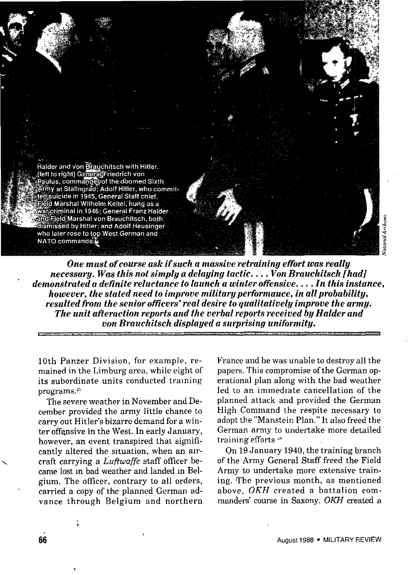

*One must of course ask if such a massive retraining effort was really necessary. Was this not simply a delaying tactic. . . . VonBrauchitsch [had] ' demonstrated a definite reluctance to launch a winter offensive . . . . In this instance, however, the stated need to improve military petiormauce, in all probability, resulted from the senior oficers' real desire to qualitatively improve the army. The unit afteraction reports and the verbal reports received by Halder and von Brauchitsch displayed a surprising uniformity.*

IOth Panzer Division, for example, remained in the Limburg area, while eight of its subordinate units conducted training programs.<sup>25</sup>

The severe weather in November and December provided the army little chance to carry out Hitler's bizarre demand for a winter offensive in the West. In early January, however, an event transpired that significantly altered the situation, when an aircraft carrying a  $L$ uftwaffe staff officer became lost m bad weather and landed m Belgium. The officer, contrary to all orders, carried a copy of the planned German advance through Belgium and northern France and he was unable to destroy all the papers. This compromise of the German operational plan along with the bad weather led to an immediate cancellation of the planned attack and provided the German High Command the respite necessary to adopt the "Manstein Plan." It also freed the German army to undertake more detailed training efforts<sup>26</sup>

On 19 January 1940, the training branch of the Army General Staff freed the Field Army to undertake more extensive training. The previous month, as mentioned above, OKH created a battalion commanders' course in Sazony. OKH created a

i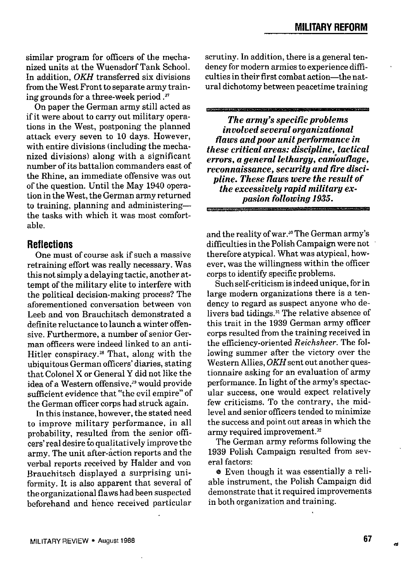similar program for officers of the mechanized units at the Wuensdorf Tank School. In addition, *OKH* transferred six divisions from the West Front to separate army training grounds for a three-week period ."

On paper the German army still acted as if it were about to carry out military operations in the West, postponing the planned attack every seven to 10 days. However, with entire divisions (including the mechanized divisions) along with a significant number of its battalion commanders east of the Rhine, an immediate offensive was out of the question. Until the May 1940 operation in the West, the German army returned to training, planning and administering the tasks with which it was most comfortable.

## **Reflections**

One must of course ask if such a massive retraining effort was really necessary. Was this not simply a delaying tactic, another attempt of the military elite to interfere with the political decision-making process? The aforementioned conversation between von Leeb and von Brauchitsch demonstrated a definite reluctance to launch a winter offensive. Furthermore, a number of senior German officers were indeed linked to an anti-Hitler conspiracy.<sup>28</sup> That, along with the ubiquitous German officers' diaries, stating that Colonel X or General Y did not like the idea of a Western offensive,<sup>29</sup> would provide sufficient evidence that "the evil empire" of the German officer corps had struck again.

In this instance, however, the stated need to improve military performance, in all probability, resulted from the senior officers' real desire to qualitatively improve the army. The unit after-action reports and the verbal reports received by Halder and von Brauchitsch displayed a surprising uniformity. It is also apparent that several of the organizational flaws had been suspected beforehand and hence received particular scrutiny. *In* addition, there is a general tendency for modern armies to experience difflculties in their first combat action—the natural dichotomy between peacetime training

*The army's specific problems involved several organizational flaws andpoor unit petiormance in these critical areas: discipline,otactical errors, a general lethargy, camouflage, reconnaissance, security and fire discipline. These flaws were the result of the excessively rapid military expasion following 1935.*

and the reality of war.<sup>30</sup> The German army's difficulties in the Polish Campaign were not therefore atypical. What was atypical, however, was the willingness within the officer corps to identify specific problems.

Such self-criticism is indeed unique, for in large modern organizations there is a tendency to regard as suspect anyone who delivers bad tidings.<sup>31</sup> The relative absence of this trait in the 1939 German army officer corps resulted from the training received in the efficiency-oriented *Reichsheer.* The following summer after the victory over the Western Allies, *OKH* sent out another questionnaire asking for an evaluation of army performance. In light of the army's spectacular success, one would expect relatively few criticisms. To the contrary, the midlevel and senior officers tended to minimize the success and point out areas in which the army required improvement.<sup>32</sup>

The German army reforms following the 1939 Polish Campaign resulted from several factors

e Even though it was essentially a reliable instrument, the Polish Campaign did demonstrate that it required improvements in both organization and training.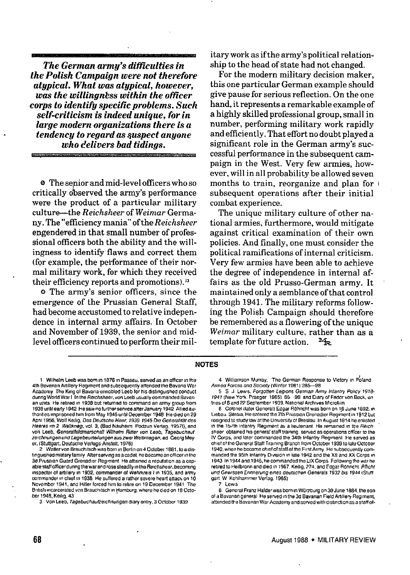*The German army's difficulties in the Polish Campaign were not therefore atypical. What was atypical, however, was the willingness within the officer*  $\epsilon$  *corps* to *identifu specific problems. Such self-criticism is indeed unique, for in large modern organizations there is a tendency to regard as ~uspect anyone who tielivers bad tidings.*

**e** The senior and mid-level officers who so critically observed the army's performance were the product of a particular military culture-the *Reichsheer* of *Weimar* Germany. The "efficiency mania" of the *Reichsheer* engendered in that small number of professional officers both the ability and the willingness to identify flaws and correct them (for example, the performance of their normal military work, for which they received their efficiency reports and promotions).<sup>33</sup>

o The army's senior officers, since the emergence of the Prussian General Staff, had become accustomed to relative independence in internal army affairs. In October and November of 1939, the senior and midlevel officers continued to perform their military work as if the army's political relationship to the head of state had not changed.

For the modern military decision maker, this one particular German example should give pause for serious reflection. On the one hand, it represents *a* remarkable example of a highly skilled professional group, small in number, performing military work rapidly and efficiently. That effort no doubt played a significant role in the German army's successful performance in the subsequent campaign in the West. Very few armies, however, will in all probability be allowed seven months to train, reorganize and plan for i subsequent operations after their initial combat experience.

The unique military culture of other national armies, furthermore, would mitigate against critical examination of their own policies. And finally, one must consider the political ramifications of internal criticism. Very few armies have been able to achieve the degree of independence in internal affairs as the old Prusso-German army. It maintained only a semblance of that control through 1941. The military reforms following the Polish Campaign should therefore be remembered as a flowering of the unique *Weirnar* military culture, rather than as a template for future action.  $M_{\odot}$ 

## **i40TES**

**1 W,lhdm L.eb was mm !" 1876 !" Pa,s9+l", sewed as an ri+ce, ," the 4th Bavanan Artillery Regiment and subsequently attended the Bavaria War Academv The K,rm of 0 . . . . . .n.oolea Leeb for MS dlstmoumwd conduct** rl"""g W"odd **W,w 1-1" ,Im** Re,Ch3hebY, "0" Leeb **"sully .wm"msnd,d Bavan an** units. He retired in 1938 but returned to command an army group from 1939 until early 1942 He saw no further service after January 1942 Allied au-**Umnl,estqmson.d h,mfrom May 1945 u"!,l Oecember 7948 Heo,eo on 29** April 1956, Wolf Kellig, Das Deutsche Heer, 1939-1945 Die Generalität des Heeres m 2 Weltkneg, vol. 3, (Bad Nauheim Podzun Verlag, 1957f), and von Leeb, Generalfeldmarschall Wilhelm Ritter von Leeb, Tagebuchauf zerchnungen und Lagebeurteilungen aus zwei Weltknegen, ed. Georg Mey er, (Stuttgart. Deutsche Verlags Anstalt, 1976).

**2 Walter "o" Smuch,lsch was born,. Bwl,n on 4 October 1881. m a d,,.**  $t$ nguished military family After serving as a cadet, he became an officer in the **m Pnssra. Guard Grensd,ar Reg,ment He .Ual.m. rewt.tlon m a cam**  $f$  able staff officer during the war and rose steadily in the Reichsheer, becoming  $\ln$  inspector of artillery in 1932, commander of Wehrkreis I in 1935, and army **Wmmander m clue! m 19SS He S.riered a ramer severe hearl Mach on 10 November 1941, and Hitler foreeatum to rel,re on 19 December i941 The**  $B$ ntish incarcerated von Brauchitsch in Hamburg, where he died on 18 Octo-**Lwr 1948. Ke,lho 43**

 $3$  **Von Leeb, Tagebuchaufzerchnungen diary entry,**  $3$  **October 1939** 

**4 W,ll,amson ML!\*w The German Response to V,ct.v I. P~land** Armed Forces and Society (Winter 1981) 285-98

**5 S J Lewis, Forgotten Legions German Army Infantry Policy 1918-**7941 **(New York Pmege[ i 985) 8S 98 and O,wy of Fedor "o" Bock, e" tries of 8** and 22 September 1939, National Archives Microfilm

**6 colonel (later Gwvarall Edger Rohn.ht was born 0. 1.6 June W92, I. L,eoau S,1.s,,, Heenteceothe 7th Pmss,an Grenadier Reg,ment,n 1912 but**  $r$  **esigned** to study law at the University of Breslau In August 1914 he enlisted **in the 157th lotantry Requirent as a lieutenant. He remained in the Reichsheer obtal"ed h,, general staH l,a,"mg serveti .\$ OPerattom .lfker to tlw iV** Corps, and later commanded the 34th Infantry Regiment He served as **eh,ef 0! the General SlaR Trafn,"g Sranch from October 1939 to late Oc+obe,** 1940, when he became chief of staff of the First Army He subsequently commanded the 95th Infantry Division in late 1942 and the XII and XX Corps in 1943 In 1944 and 1945, he commanded the LIX Corps Following the war he **rety in 1944 in 1944 in 1957 Ketlig, 274**, and **Fdgar Röhncht**, *Pflicht* etc. und Gewissen Ennnerung eines deutschen Generals 1932 bis 1944 (Stutt garl **W Kohlhamner Vertq 4965)**

**7 Lew,s**

**8 General Franz Halder was born ," WJf70"rg on 30 June 1884, the son of a Bavarian general He served in the 3d Bavarian Field Artillery Regiment,**  $a$ <sup>x</sup> attended the Bavarian War Academy and served with distinction as a staff of